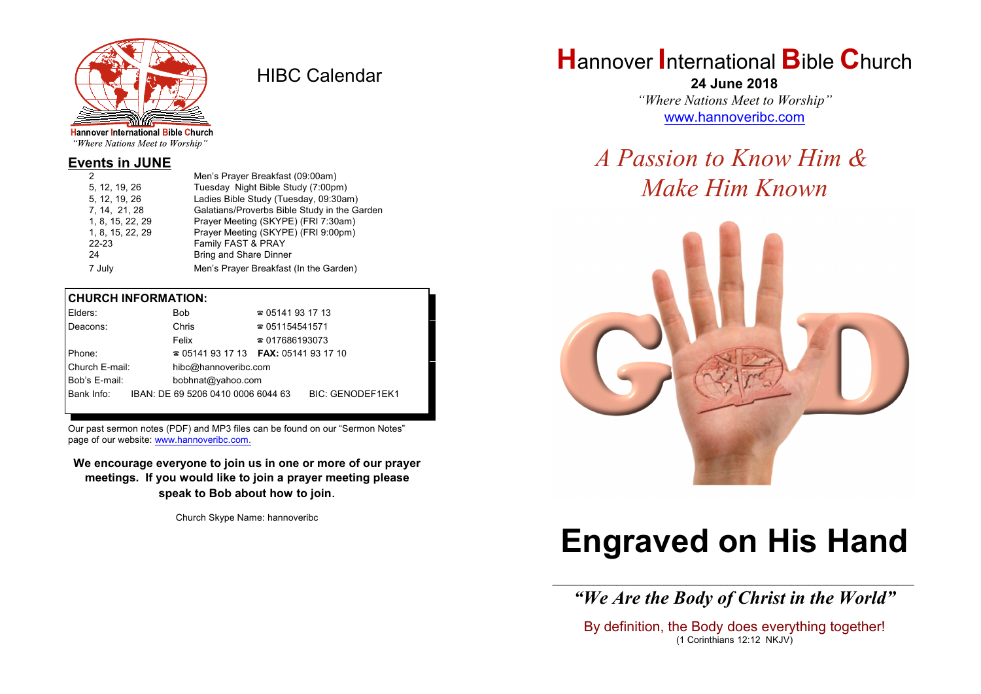

HIBC Calendar

"Where Nations Meet to Worship"

#### **Events in JUNE**

|                  | Men's Prayer Breakfast (09:00am)             |
|------------------|----------------------------------------------|
| 5, 12, 19, 26    | Tuesday Night Bible Study (7:00pm)           |
| 5. 12. 19. 26    | Ladies Bible Study (Tuesday, 09:30am)        |
| 7, 14, 21, 28    | Galatians/Proverbs Bible Study in the Garden |
| 1, 8, 15, 22, 29 | Prayer Meeting (SKYPE) (FRI 7:30am)          |
| 1, 8, 15, 22, 29 | Prayer Meeting (SKYPE) (FRI 9:00pm)          |
| $22 - 23$        | Family FAST & PRAY                           |
| 24               | <b>Bring and Share Dinner</b>                |
| 7 July           | Men's Prayer Breakfast (In the Garden)       |
|                  |                                              |

#### **CHURCH INFORMATION:**

| Elders:        |  | Bob.                                     | $\approx 05141931713$  |                         |  |
|----------------|--|------------------------------------------|------------------------|-------------------------|--|
| Deacons:       |  | Chris                                    | $\approx 051154541571$ |                         |  |
|                |  | Felix                                    | $\approx 017686193073$ |                         |  |
| Phone:         |  | $\approx 05141931713$ FAX: 0514193 17 10 |                        |                         |  |
| Church E-mail: |  | hibc@hannoveribc.com                     |                        |                         |  |
| Bob's E-mail:  |  | bobhnat@yahoo.com                        |                        |                         |  |
| Bank Info:     |  | IBAN: DE 69 5206 0410 0006 6044 63       |                        | <b>BIC: GENODEF1EK1</b> |  |
|                |  |                                          |                        |                         |  |

Our past sermon notes (PDF) and MP3 files can be found on our "Sermon Notes" page of our website: [www.hannoveribc.com.](http://www.hannoveribc.com.)

**We encourage everyone to join us in one or more of our prayer meetings. If you would like to join a prayer meeting please speak to Bob about how to join**.

Church Skype Name: hannoveribc

# **H**annover **I**nternational **B**ible **C**hurch

**24 June 2018** *"Where Nations Meet to Worship"* [www.hannoveribc.com](http://www.hannoveribc.com)

## *A Passion to Know Him & Make Him Known*



# **Engraved on His Hand**

\_\_\_\_\_\_\_\_\_\_\_\_\_\_\_\_\_\_\_\_\_\_\_\_\_\_\_\_\_\_\_\_\_\_\_\_\_\_\_\_\_\_\_\_\_\_\_\_\_\_\_\_\_\_\_\_\_\_\_\_\_\_ *"We Are the Body of Christ in the World"*

By definition, the Body does everything together! (1 Corinthians 12:12 NKJV)